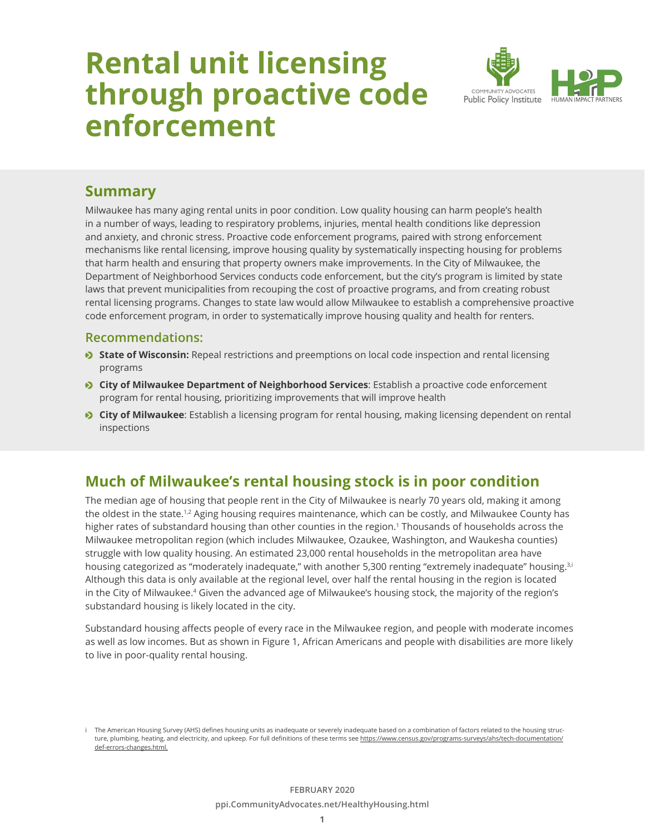# **Rental unit licensing through proactive code enforcement**



## **Summary**

Milwaukee has many aging rental units in poor condition. Low quality housing can harm people's health in a number of ways, leading to respiratory problems, injuries, mental health conditions like depression and anxiety, and chronic stress. Proactive code enforcement programs, paired with strong enforcement mechanisms like rental licensing, improve housing quality by systematically inspecting housing for problems that harm health and ensuring that property owners make improvements. In the City of Milwaukee, the Department of Neighborhood Services conducts code enforcement, but the city's program is limited by state laws that prevent municipalities from recouping the cost of proactive programs, and from creating robust rental licensing programs. Changes to state law would allow Milwaukee to establish a comprehensive proactive code enforcement program, in order to systematically improve housing quality and health for renters.

#### **Recommendations:**

- **State of Wisconsin:** Repeal restrictions and preemptions on local code inspection and rental licensing programs
- **City of Milwaukee Department of Neighborhood Services**: Establish a proactive code enforcement program for rental housing, prioritizing improvements that will improve health
- **City of Milwaukee**: Establish a licensing program for rental housing, making licensing dependent on rental inspections

# **Much of Milwaukee's rental housing stock is in poor condition**

The median age of housing that people rent in the City of Milwaukee is nearly 70 years old, making it among the oldest in the state.<sup>1,2</sup> Aging housing requires maintenance, which can be costly, and Milwaukee County has higher rates of substandard housing than other counties in the region.<sup>1</sup> Thousands of households across the Milwaukee metropolitan region (which includes Milwaukee, Ozaukee, Washington, and Waukesha counties) struggle with low quality housing. An estimated 23,000 rental households in the metropolitan area have housing categorized as "moderately inadequate," with another 5,300 renting "extremely inadequate" housing.<sup>3,i</sup> Although this data is only available at the regional level, over half the rental housing in the region is located in the City of Milwaukee.<sup>4</sup> Given the advanced age of Milwaukee's housing stock, the majority of the region's substandard housing is likely located in the city.

Substandard housing affects people of every race in the Milwaukee region, and people with moderate incomes as well as low incomes. But as shown in Figure 1, African Americans and people with disabilities are more likely to live in poor-quality rental housing.

The American Housing Survey (AHS) defines housing units as inadequate or severely inadequate based on a combination of factors related to the housing structure, plumbing, heating, and electricity, and upkeep. For full definitions of these terms see [https://www.census.gov/programs-surveys/ahs/tech-documentation/](https://www.census.gov/programs-surveys/ahs/tech-documentation/def-errors-changes.html) [def-errors-changes.html.](https://www.census.gov/programs-surveys/ahs/tech-documentation/def-errors-changes.html)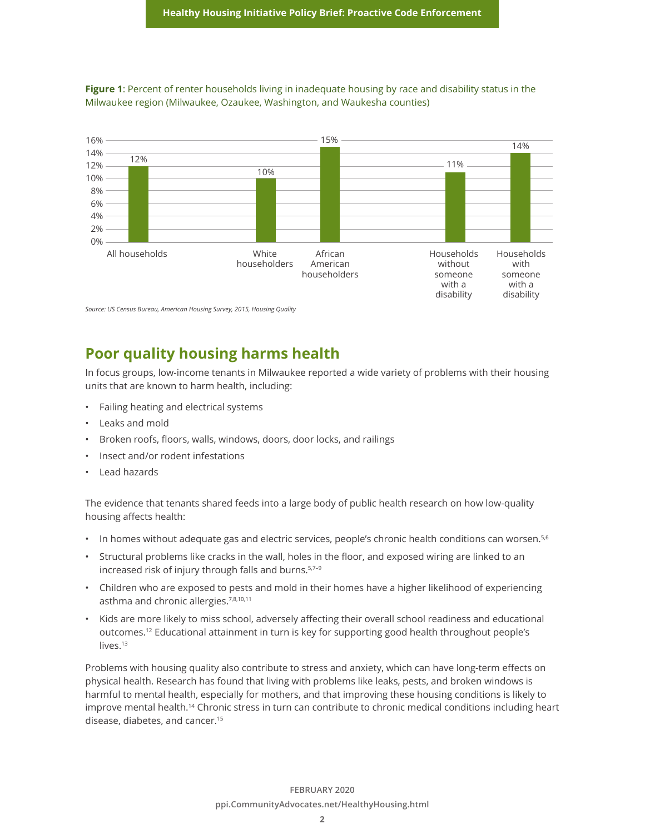

**Figure 1**: Percent of renter households living in inadequate housing by race and disability status in the Milwaukee region (Milwaukee, Ozaukee, Washington, and Waukesha counties)

*Source: US Census Bureau, American Housing Survey, 2015, Housing Quality*

## **Poor quality housing harms health**

In focus groups, low-income tenants in Milwaukee reported a wide variety of problems with their housing units that are known to harm health, including:

- Failing heating and electrical systems
- Leaks and mold
- Broken roofs, floors, walls, windows, doors, door locks, and railings
- Insect and/or rodent infestations
- Lead hazards

The evidence that tenants shared feeds into a large body of public health research on how low-quality housing affects health:

- In homes without adequate gas and electric services, people's chronic health conditions can worsen.<sup>5,6</sup>
- Structural problems like cracks in the wall, holes in the floor, and exposed wiring are linked to an increased risk of injury through falls and burns.<sup>5,7-9</sup>
- Children who are exposed to pests and mold in their homes have a higher likelihood of experiencing asthma and chronic allergies.7,8,10,11
- Kids are more likely to miss school, adversely affecting their overall school readiness and educational outcomes.12 Educational attainment in turn is key for supporting good health throughout people's lives.<sup>13</sup>

Problems with housing quality also contribute to stress and anxiety, which can have long-term effects on physical health. Research has found that living with problems like leaks, pests, and broken windows is harmful to mental health, especially for mothers, and that improving these housing conditions is likely to improve mental health.<sup>14</sup> Chronic stress in turn can contribute to chronic medical conditions including heart disease, diabetes, and cancer.15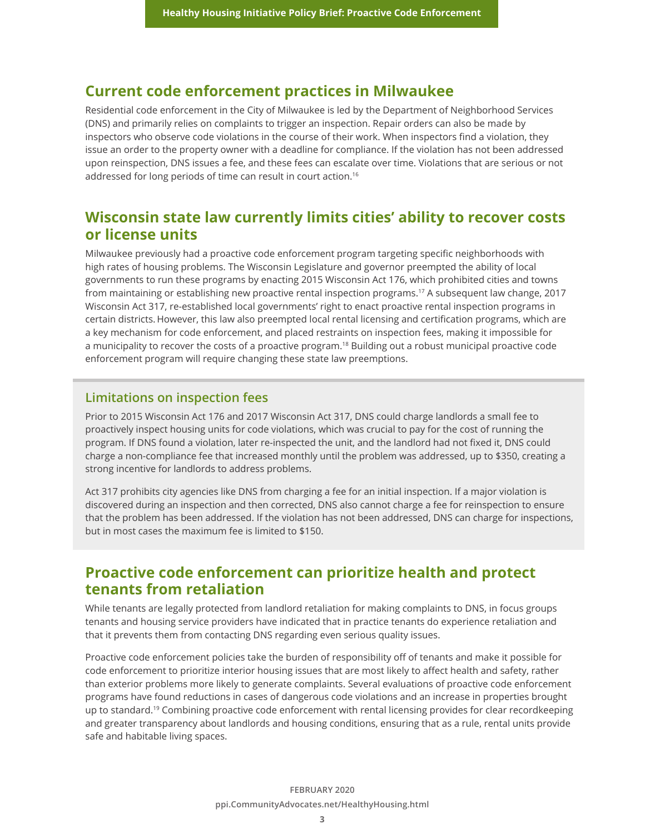#### **Current code enforcement practices in Milwaukee**

Residential code enforcement in the City of Milwaukee is led by the Department of Neighborhood Services (DNS) and primarily relies on complaints to trigger an inspection. Repair orders can also be made by inspectors who observe code violations in the course of their work. When inspectors find a violation, they issue an order to the property owner with a deadline for compliance. If the violation has not been addressed upon reinspection, DNS issues a fee, and these fees can escalate over time. Violations that are serious or not addressed for long periods of time can result in court action.<sup>16</sup>

## **Wisconsin state law currently limits cities' ability to recover costs or license units**

Milwaukee previously had a proactive code enforcement program targeting specific neighborhoods with high rates of housing problems. The Wisconsin Legislature and governor preempted the ability of local governments to run these programs by enacting 2015 Wisconsin Act 176, which prohibited cities and towns from maintaining or establishing new proactive rental inspection programs.17 A subsequent law change, 2017 Wisconsin Act 317, re-established local governments' right to enact proactive rental inspection programs in certain districts. However, this law also preempted local rental licensing and certification programs, which are a key mechanism for code enforcement, and placed restraints on inspection fees, making it impossible for a municipality to recover the costs of a proactive program.18 Building out a robust municipal proactive code enforcement program will require changing these state law preemptions.

#### **Limitations on inspection fees**

Prior to 2015 Wisconsin Act 176 and 2017 Wisconsin Act 317, DNS could charge landlords a small fee to proactively inspect housing units for code violations, which was crucial to pay for the cost of running the program. If DNS found a violation, later re-inspected the unit, and the landlord had not fixed it, DNS could charge a non-compliance fee that increased monthly until the problem was addressed, up to \$350, creating a strong incentive for landlords to address problems.

Act 317 prohibits city agencies like DNS from charging a fee for an initial inspection. If a major violation is discovered during an inspection and then corrected, DNS also cannot charge a fee for reinspection to ensure that the problem has been addressed. If the violation has not been addressed, DNS can charge for inspections, but in most cases the maximum fee is limited to \$150.

### **Proactive code enforcement can prioritize health and protect tenants from retaliation**

While tenants are legally protected from landlord retaliation for making complaints to DNS, in focus groups tenants and housing service providers have indicated that in practice tenants do experience retaliation and that it prevents them from contacting DNS regarding even serious quality issues.

Proactive code enforcement policies take the burden of responsibility off of tenants and make it possible for code enforcement to prioritize interior housing issues that are most likely to affect health and safety, rather than exterior problems more likely to generate complaints. Several evaluations of proactive code enforcement programs have found reductions in cases of dangerous code violations and an increase in properties brought up to standard.19 Combining proactive code enforcement with rental licensing provides for clear recordkeeping and greater transparency about landlords and housing conditions, ensuring that as a rule, rental units provide safe and habitable living spaces.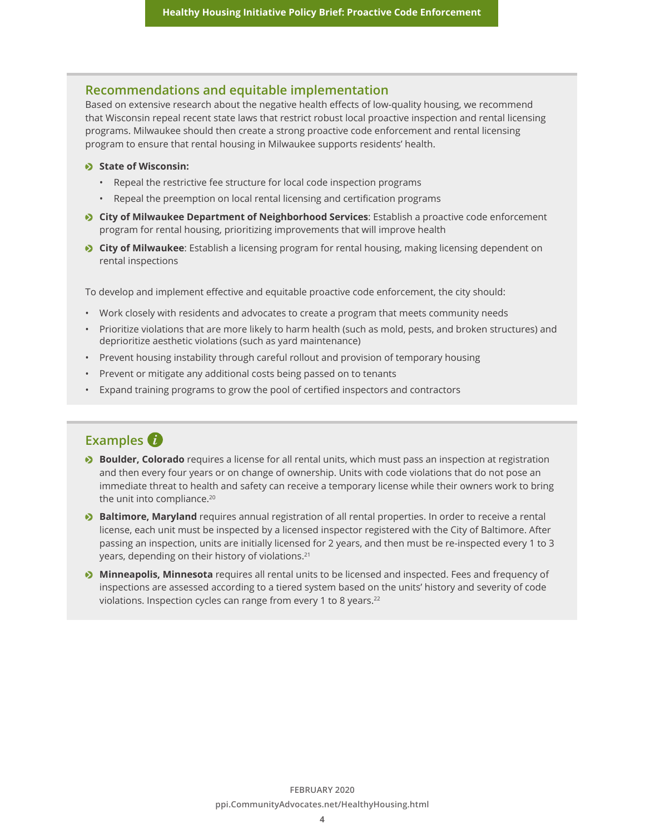#### **Recommendations and equitable implementation**

Based on extensive research about the negative health effects of low-quality housing, we recommend that Wisconsin repeal recent state laws that restrict robust local proactive inspection and rental licensing programs. Milwaukee should then create a strong proactive code enforcement and rental licensing program to ensure that rental housing in Milwaukee supports residents' health.

#### o **State of Wisconsin:**

- Repeal the restrictive fee structure for local code inspection programs
- Repeal the preemption on local rental licensing and certification programs
- **City of Milwaukee Department of Neighborhood Services**: Establish a proactive code enforcement program for rental housing, prioritizing improvements that will improve health
- **City of Milwaukee**: Establish a licensing program for rental housing, making licensing dependent on rental inspections

To develop and implement effective and equitable proactive code enforcement, the city should:

- Work closely with residents and advocates to create a program that meets community needs
- Prioritize violations that are more likely to harm health (such as mold, pests, and broken structures) and deprioritize aesthetic violations (such as yard maintenance)
- Prevent housing instability through careful rollout and provision of temporary housing
- Prevent or mitigate any additional costs being passed on to tenants
- Expand training programs to grow the pool of certified inspectors and contractors

### **Examples**

- **Boulder, Colorado** requires a license for all rental units, which must pass an inspection at registration and then every four years or on change of ownership. Units with code violations that do not pose an immediate threat to health and safety can receive a temporary license while their owners work to bring the unit into compliance.<sup>20</sup>
- **Baltimore, Maryland** requires annual registration of all rental properties. In order to receive a rental license, each unit must be inspected by a licensed inspector registered with the City of Baltimore. After passing an inspection, units are initially licensed for 2 years, and then must be re-inspected every 1 to 3 years, depending on their history of violations.21
- **Minneapolis, Minnesota** requires all rental units to be licensed and inspected. Fees and frequency of inspections are assessed according to a tiered system based on the units' history and severity of code violations. Inspection cycles can range from every 1 to 8 years.<sup>22</sup>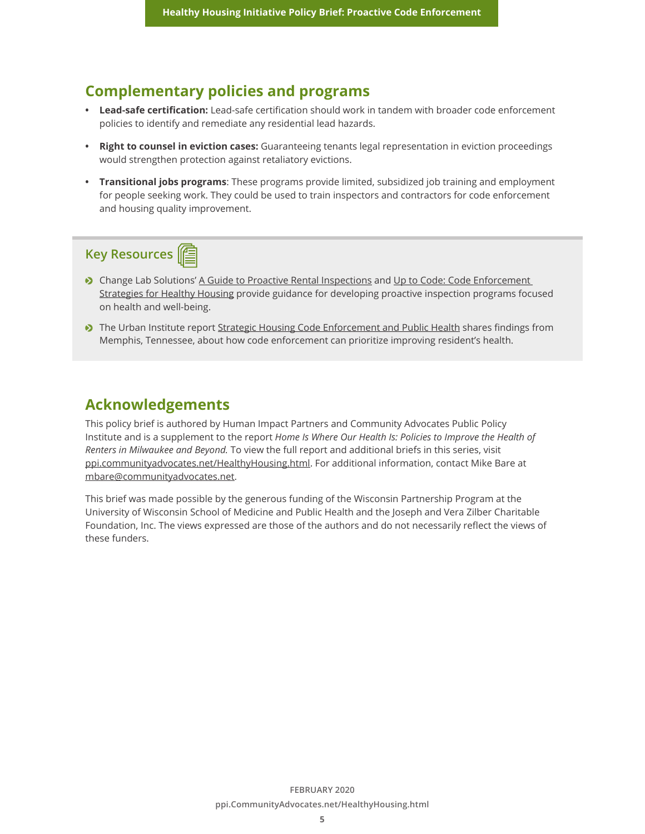### **Complementary policies and programs**

- **• Lead-safe certification:** Lead-safe certification should work in tandem with broader code enforcement policies to identify and remediate any residential lead hazards.
- **• Right to counsel in eviction cases:** Guaranteeing tenants legal representation in eviction proceedings would strengthen protection against retaliatory evictions.
- **• Transitional jobs programs**: These programs provide limited, subsidized job training and employment for people seeking work. They could be used to train inspectors and contractors for code enforcement and housing quality improvement.

# **Key Resources**

- Change Lab Solutions' [A Guide to Proactive Rental Inspections](https://www.changelabsolutions.org/sites/default/files/Proactive-Rental-Inspection-Programs_Guide_FINAL_20140204.pdf) and Up to Code: Code Enforcement [Strategies for Healthy Housing](https://www.changelabsolutions.org/sites/default/files/Up-tp-Code_Enforcement_Guide_FINAL-20150527.pdf) provide guidance for developing proactive inspection programs focused on health and well-being.
- o The Urban Institute report [Strategic Housing Code Enforcement and Public Health](https://www.urban.org/research/publication/strategic-housing-code-enforcement-and-public-health) shares findings from Memphis, Tennessee, about how code enforcement can prioritize improving resident's health.

### **Acknowledgements**

This policy brief is authored by Human Impact Partners and Community Advocates Public Policy Institute and is a supplement to the report *Home Is Where Our Health Is: Policies to Improve the Health of Renters in Milwaukee and Beyond.* To view the full report and additional briefs in this series, visit [ppi.communityadvocates.net/HealthyHousing.html.](http://ppi.communityadvocates.net/HealthyHousing.html) For additional information, contact Mike Bare at mbare@communityadvocates.net.

This brief was made possible by the generous funding of the Wisconsin Partnership Program at the University of Wisconsin School of Medicine and Public Health and the Joseph and Vera Zilber Charitable Foundation, Inc. The views expressed are those of the authors and do not necessarily reflect the views of these funders.